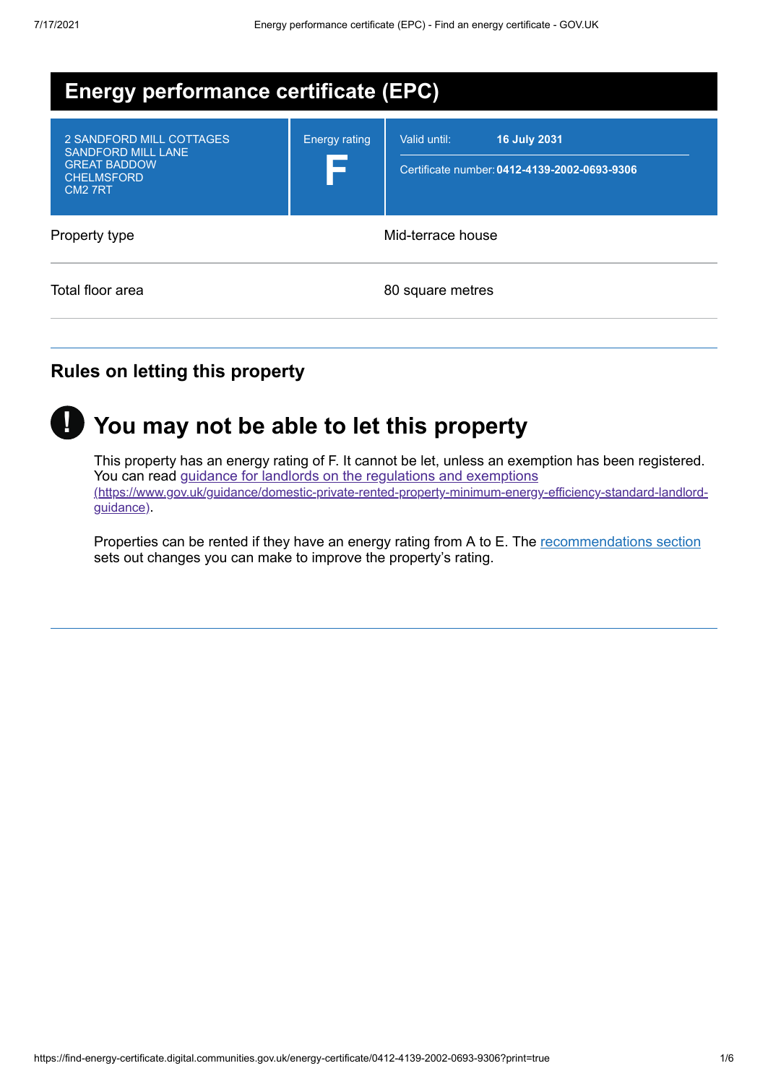| <b>Energy performance certificate (EPC)</b>                                                                              |                      |                                                                                     |  |  |  |
|--------------------------------------------------------------------------------------------------------------------------|----------------------|-------------------------------------------------------------------------------------|--|--|--|
| 2 SANDFORD MILL COTTAGES<br><b>SANDFORD MILL LANE</b><br><b>GREAT BADDOW</b><br><b>CHELMSFORD</b><br>CM <sub>2</sub> 7RT | <b>Energy rating</b> | <b>16 July 2031</b><br>Valid until:<br>Certificate number: 0412-4139-2002-0693-9306 |  |  |  |
| Property type                                                                                                            |                      | Mid-terrace house                                                                   |  |  |  |
| Total floor area                                                                                                         |                      | 80 square metres                                                                    |  |  |  |

## **Rules on letting this property**



# **You may not be able to let this property !**

This property has an energy rating of F. It cannot be let, unless an exemption has been registered. You can read guidance for landlords on the regulations and exemptions [\(https://www.gov.uk/guidance/domestic-private-rented-property-minimum-energy-efficiency-standard-landlord](https://www.gov.uk/guidance/domestic-private-rented-property-minimum-energy-efficiency-standard-landlord-guidance)guidance).

Properties can be rented if they have an energy rating from A to E. The [recommendations](#page-3-0) section sets out changes you can make to improve the property's rating.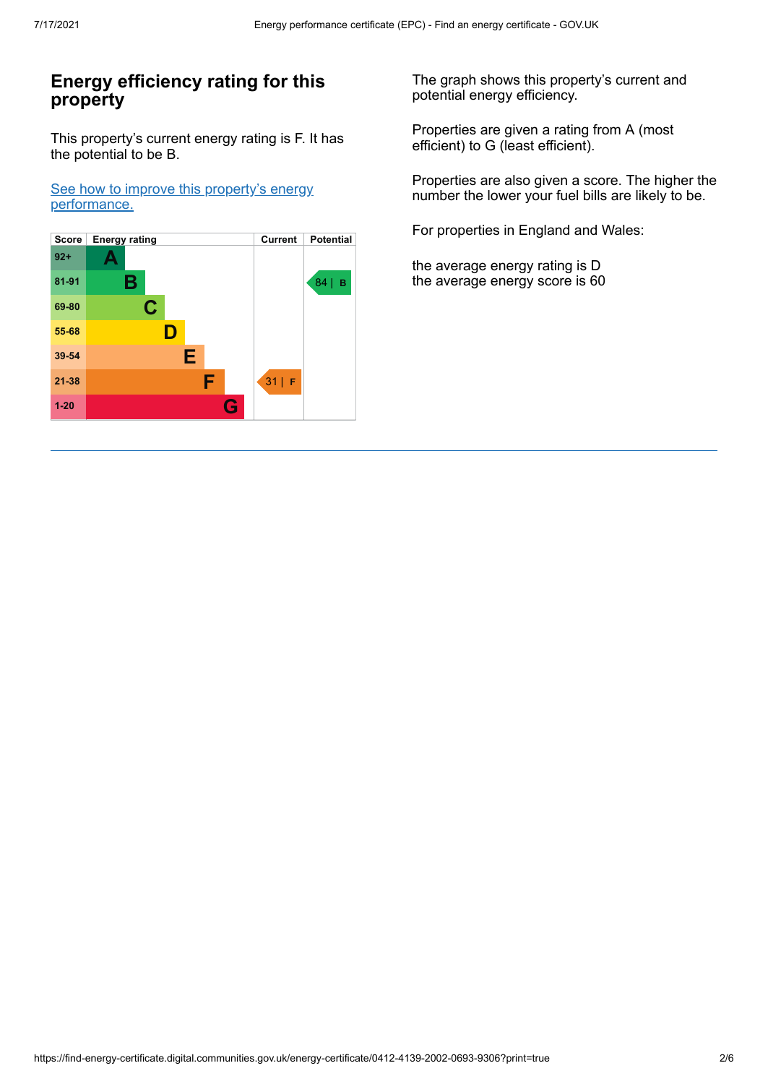## **Energy efficiency rating for this property**

This property's current energy rating is F. It has the potential to be B.

See how to improve this property's energy [performance.](#page-3-0)



The graph shows this property's current and potential energy efficiency.

Properties are given a rating from A (most efficient) to G (least efficient).

Properties are also given a score. The higher the number the lower your fuel bills are likely to be.

For properties in England and Wales:

the average energy rating is D the average energy score is 60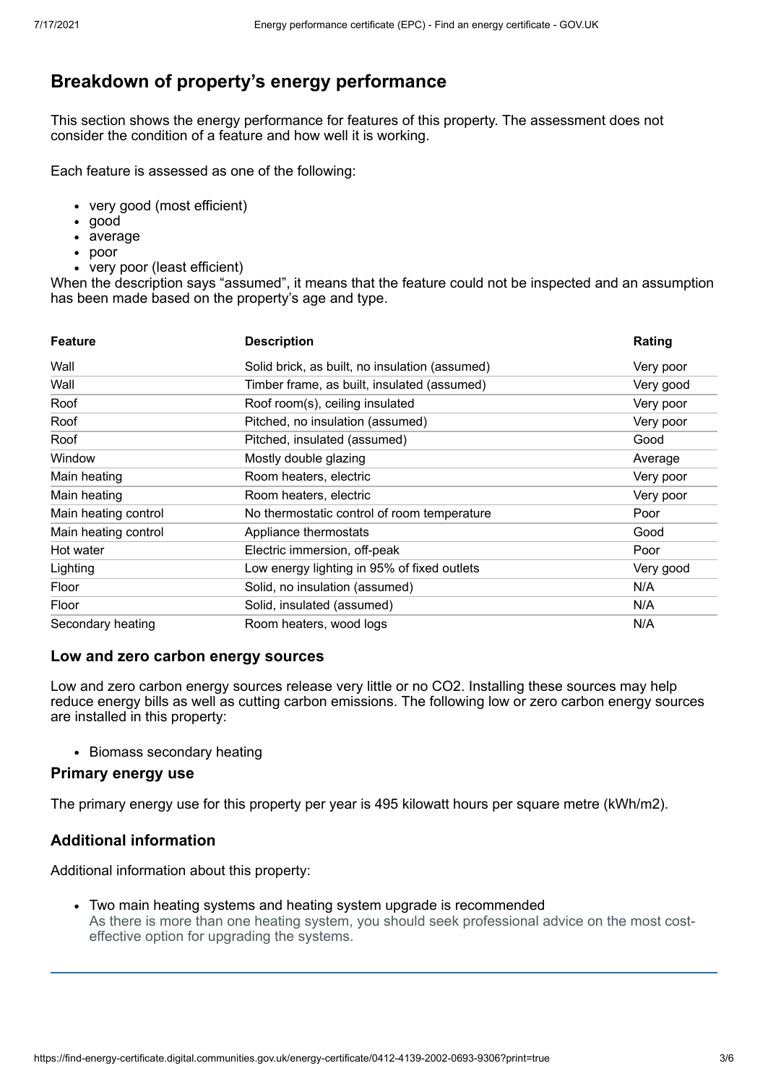## **Breakdown of property's energy performance**

This section shows the energy performance for features of this property. The assessment does not consider the condition of a feature and how well it is working.

Each feature is assessed as one of the following:

- very good (most efficient)
- good
- average
- poor
- very poor (least efficient)

When the description says "assumed", it means that the feature could not be inspected and an assumption has been made based on the property's age and type.

| <b>Feature</b>       | <b>Description</b>                             | Rating    |
|----------------------|------------------------------------------------|-----------|
| Wall                 | Solid brick, as built, no insulation (assumed) | Very poor |
| Wall                 | Timber frame, as built, insulated (assumed)    | Very good |
| Roof                 | Roof room(s), ceiling insulated                | Very poor |
| Roof                 | Pitched, no insulation (assumed)               | Very poor |
| Roof                 | Pitched, insulated (assumed)                   | Good      |
| Window               | Mostly double glazing                          | Average   |
| Main heating         | Room heaters, electric                         | Very poor |
| Main heating         | Room heaters, electric                         | Very poor |
| Main heating control | No thermostatic control of room temperature    | Poor      |
| Main heating control | Appliance thermostats                          | Good      |
| Hot water            | Electric immersion, off-peak                   | Poor      |
| Lighting             | Low energy lighting in 95% of fixed outlets    | Very good |
| Floor                | Solid, no insulation (assumed)                 | N/A       |
| Floor                | Solid, insulated (assumed)                     | N/A       |
| Secondary heating    | Room heaters, wood logs                        | N/A       |

#### **Low and zero carbon energy sources**

Low and zero carbon energy sources release very little or no CO2. Installing these sources may help reduce energy bills as well as cutting carbon emissions. The following low or zero carbon energy sources are installed in this property:

• Biomass secondary heating

## **Primary energy use**

The primary energy use for this property per year is 495 kilowatt hours per square metre (kWh/m2).

## **Additional information**

Additional information about this property:

Two main heating systems and heating system upgrade is recommended As there is more than one heating system, you should seek professional advice on the most costeffective option for upgrading the systems.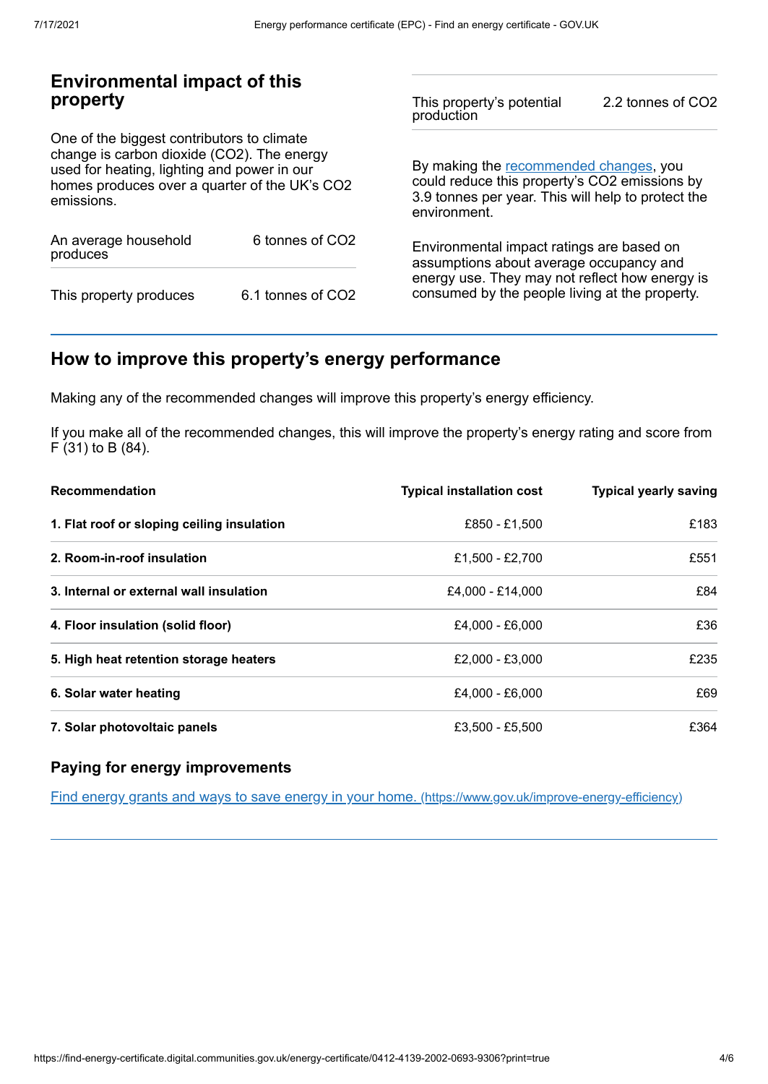## **Environmental impact of this property**

One of the biggest contributors to climate change is carbon dioxide (CO2). The energy used for heating, lighting and power in our homes produces over a quarter of the UK's CO2 emissions.

| An average household<br>produces | 6 tonnes of CO2   |  |  |
|----------------------------------|-------------------|--|--|
| This property produces           | 6.1 tonnes of CO2 |  |  |

This property's potential production 2.2 tonnes of CO2

By making the [recommended](#page-3-0) changes, you could reduce this property's CO2 emissions by 3.9 tonnes per year. This will help to protect the environment.

Environmental impact ratings are based on assumptions about average occupancy and energy use. They may not reflect how energy is consumed by the people living at the property.

## <span id="page-3-0"></span>**How to improve this property's energy performance**

Making any of the recommended changes will improve this property's energy efficiency.

If you make all of the recommended changes, this will improve the property's energy rating and score from F (31) to B (84).

| <b>Recommendation</b>                      | <b>Typical installation cost</b> | <b>Typical yearly saving</b> |
|--------------------------------------------|----------------------------------|------------------------------|
| 1. Flat roof or sloping ceiling insulation | £850 - £1.500                    | £183                         |
| 2. Room-in-roof insulation                 | £1,500 - £2,700                  | £551                         |
| 3. Internal or external wall insulation    | £4,000 - £14,000                 | £84                          |
| 4. Floor insulation (solid floor)          | £4.000 - £6.000                  | £36                          |
| 5. High heat retention storage heaters     | £2.000 - £3.000                  | £235                         |
| 6. Solar water heating                     | £4.000 - £6.000                  | £69                          |
| 7. Solar photovoltaic panels               | £3.500 - £5.500                  | £364                         |

## **Paying for energy improvements**

Find energy grants and ways to save energy in your home. [\(https://www.gov.uk/improve-energy-efficiency\)](https://www.gov.uk/improve-energy-efficiency)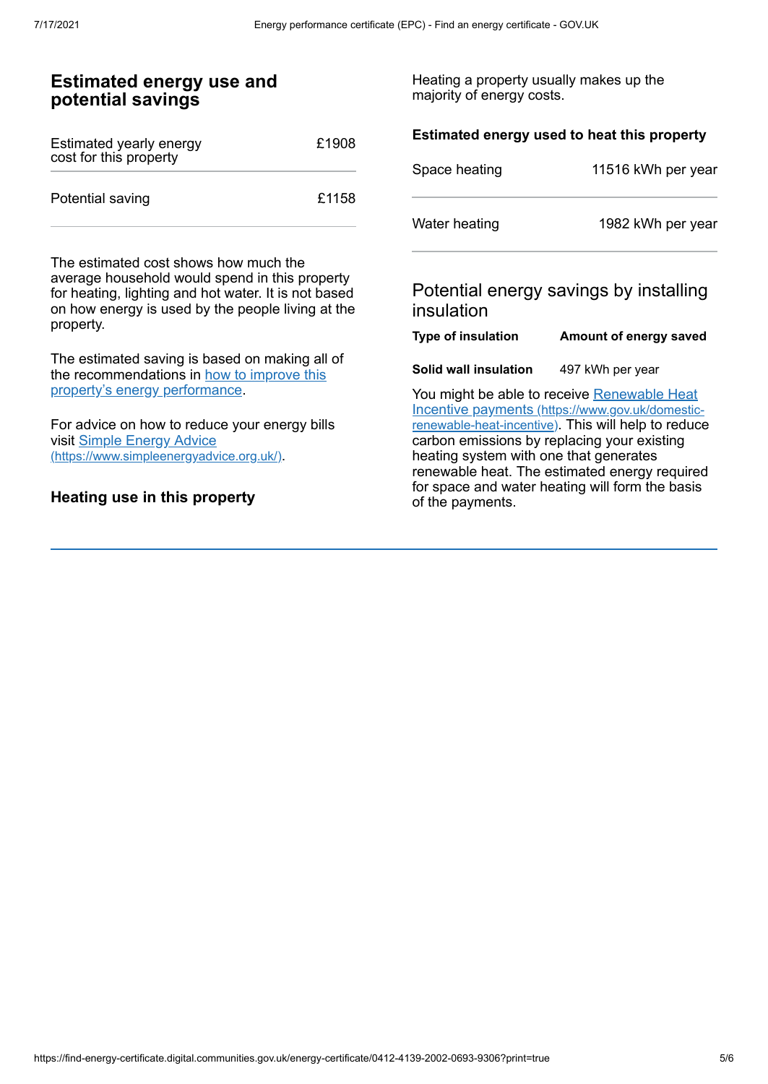#### **Estimated energy use and potential savings** Estimated yearly energy cost for this property £1908 Potential saving **E1158** The estimated cost shows how much the average household would spend in this property for heating, lighting and hot water. It is not based on how energy is used by the people living at the property. The estimated saving is based on making all of the [recommendations](#page-3-0) in how to improve this property's energy performance. For advice on how to reduce your energy bills visit Simple Energy Advice [\(https://www.simpleenergyadvice.org.uk/\)](https://www.simpleenergyadvice.org.uk/). **Heating use in this property** Heating a property usually makes up the majority of energy costs. **Estimated energy used to heat this property** Space heating 11516 kWh per year Water heating 1982 kWh per year Potential energy savings by installing insulation **Type of insulation Amount of energy saved Solid wall insulation** 497 kWh per year You might be able to receive Renewable Heat Incentive payments [\(https://www.gov.uk/domestic](https://www.gov.uk/domestic-renewable-heat-incentive)renewable-heat-incentive). This will help to reduce carbon emissions by replacing your existing heating system with one that generates renewable heat. The estimated energy required for space and water heating will form the basis of the payments.